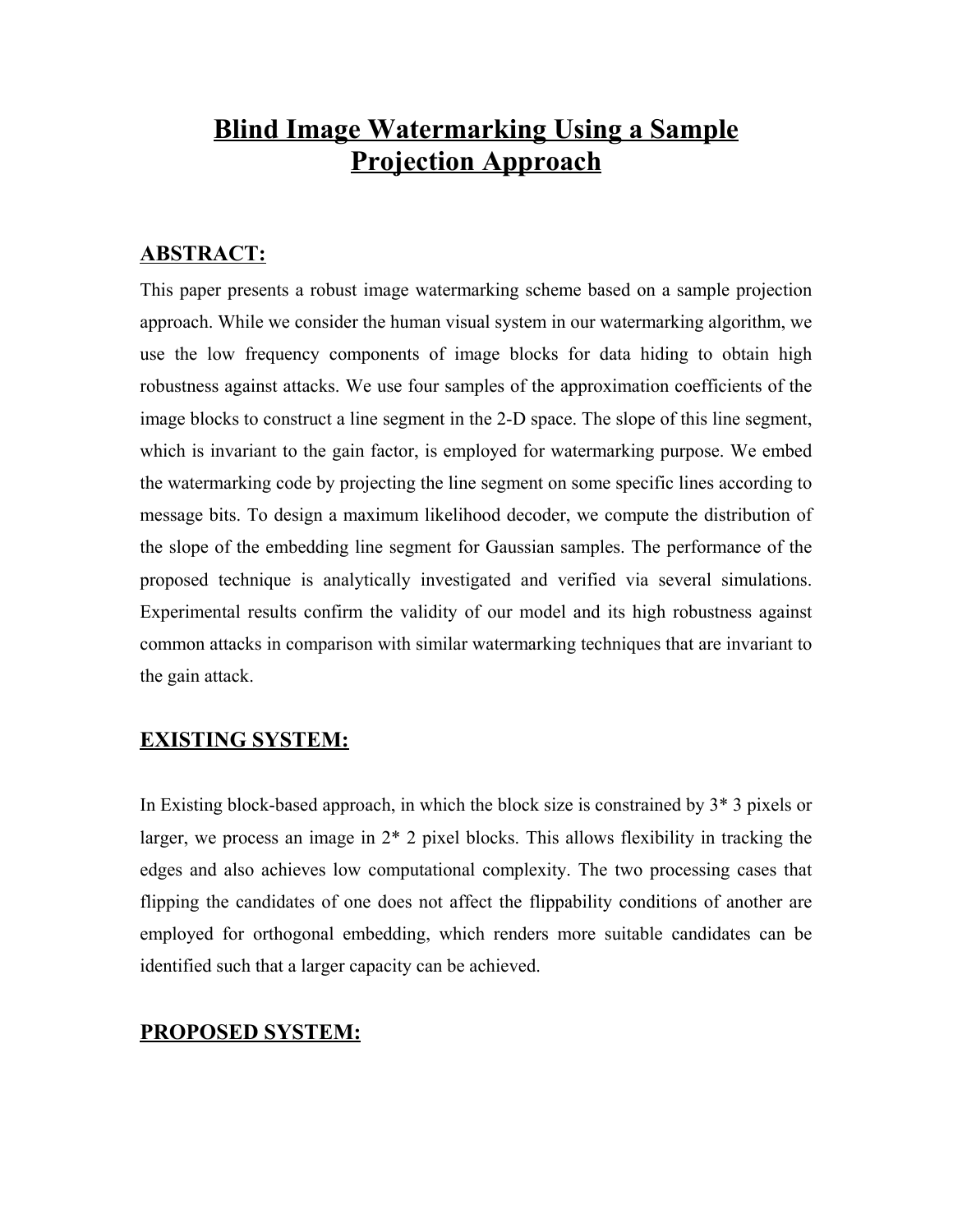# **Blind Image Watermarking Using a Sample Projection Approach**

# **ABSTRACT:**

This paper presents a robust image watermarking scheme based on a sample projection approach. While we consider the human visual system in our watermarking algorithm, we use the low frequency components of image blocks for data hiding to obtain high robustness against attacks. We use four samples of the approximation coefficients of the image blocks to construct a line segment in the 2-D space. The slope of this line segment, which is invariant to the gain factor, is employed for watermarking purpose. We embed the watermarking code by projecting the line segment on some specific lines according to message bits. To design a maximum likelihood decoder, we compute the distribution of the slope of the embedding line segment for Gaussian samples. The performance of the proposed technique is analytically investigated and verified via several simulations. Experimental results confirm the validity of our model and its high robustness against common attacks in comparison with similar watermarking techniques that are invariant to the gain attack.

# **EXISTING SYSTEM:**

In Existing block-based approach, in which the block size is constrained by 3\* 3 pixels or larger, we process an image in 2\* 2 pixel blocks. This allows flexibility in tracking the edges and also achieves low computational complexity. The two processing cases that flipping the candidates of one does not affect the flippability conditions of another are employed for orthogonal embedding, which renders more suitable candidates can be identified such that a larger capacity can be achieved.

# **PROPOSED SYSTEM:**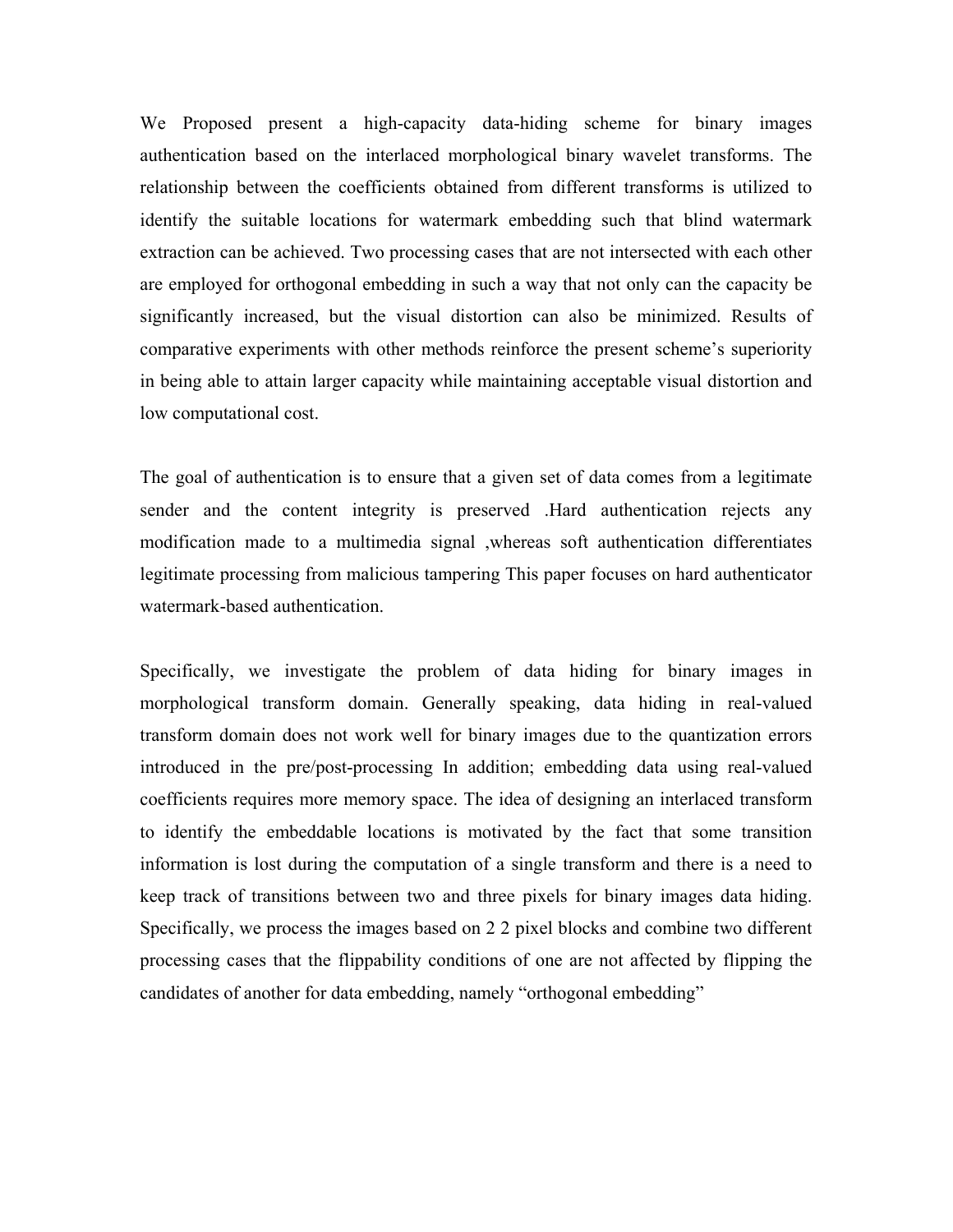We Proposed present a high-capacity data-hiding scheme for binary images authentication based on the interlaced morphological binary wavelet transforms. The relationship between the coefficients obtained from different transforms is utilized to identify the suitable locations for watermark embedding such that blind watermark extraction can be achieved. Two processing cases that are not intersected with each other are employed for orthogonal embedding in such a way that not only can the capacity be significantly increased, but the visual distortion can also be minimized. Results of comparative experiments with other methods reinforce the present scheme's superiority in being able to attain larger capacity while maintaining acceptable visual distortion and low computational cost.

The goal of authentication is to ensure that a given set of data comes from a legitimate sender and the content integrity is preserved .Hard authentication rejects any modification made to a multimedia signal ,whereas soft authentication differentiates legitimate processing from malicious tampering This paper focuses on hard authenticator watermark-based authentication.

Specifically, we investigate the problem of data hiding for binary images in morphological transform domain. Generally speaking, data hiding in real-valued transform domain does not work well for binary images due to the quantization errors introduced in the pre/post-processing In addition; embedding data using real-valued coefficients requires more memory space. The idea of designing an interlaced transform to identify the embeddable locations is motivated by the fact that some transition information is lost during the computation of a single transform and there is a need to keep track of transitions between two and three pixels for binary images data hiding. Specifically, we process the images based on 2 2 pixel blocks and combine two different processing cases that the flippability conditions of one are not affected by flipping the candidates of another for data embedding, namely "orthogonal embedding"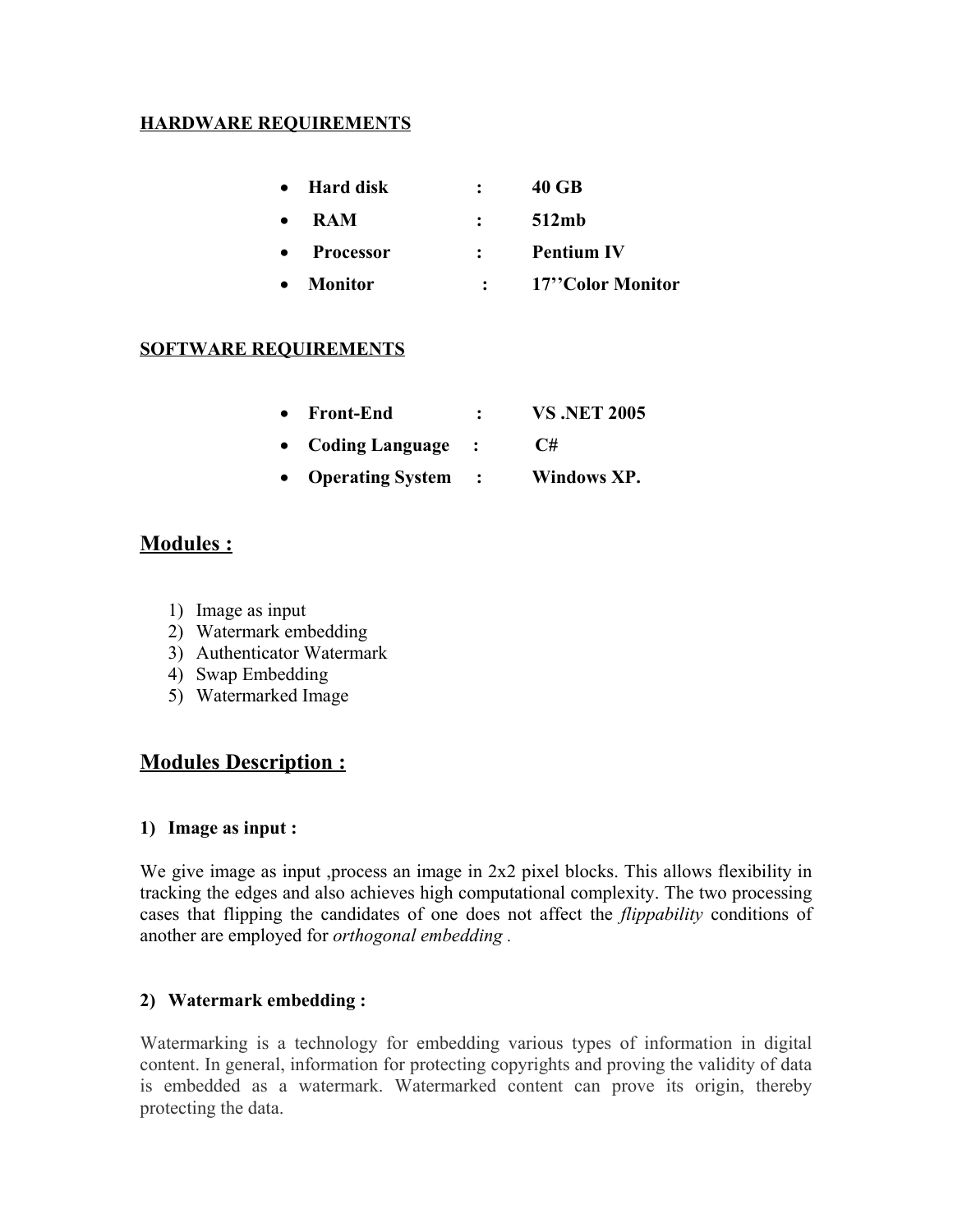## **HARDWARE REQUIREMENTS**

|           | • Hard disk |              | 40 GB             |
|-----------|-------------|--------------|-------------------|
| $\bullet$ | <b>RAM</b>  | $\mathbf{r}$ | 512mb             |
|           | • Processor |              | <b>Pentium IV</b> |
|           | • Monitor   |              | 17"Color Monitor  |

### **SOFTWARE REQUIREMENTS**

| <b>Front-End</b> |  | <b>VS.NET 2005</b> |  |
|------------------|--|--------------------|--|
|                  |  |                    |  |

- · **Coding Language : C#**
- · **Operating System : Windows XP.**

# **Modules :**

- 1) Image as input
- 2) Watermark embedding
- 3) Authenticator Watermark
- 4) Swap Embedding
- 5) Watermarked Image

# **Modules Description :**

#### **1) Image as input :**

We give image as input ,process an image in 2x2 pixel blocks. This allows flexibility in tracking the edges and also achieves high computational complexity. The two processing cases that flipping the candidates of one does not affect the *flippability* conditions of another are employed for *orthogonal embedding .*

# **2) Watermark embedding :**

Watermarking is a technology for embedding various types of information in digital content. In general, information for protecting copyrights and proving the validity of data is embedded as a watermark. Watermarked content can prove its origin, thereby protecting the data.